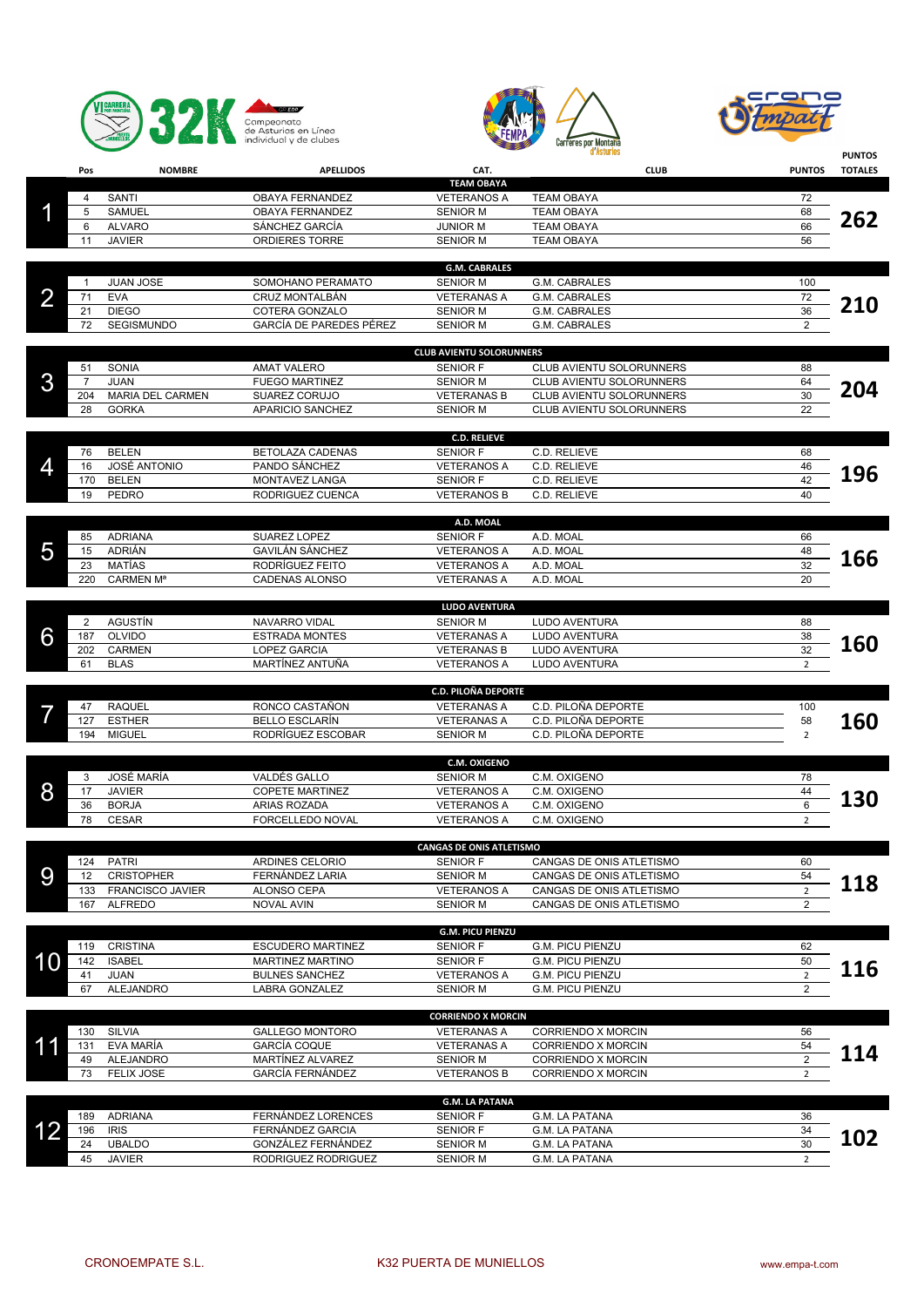





|    |                       |                                |                                         |                                                    | d'Asturies                                 |                | <b>PUNTOS</b>  |
|----|-----------------------|--------------------------------|-----------------------------------------|----------------------------------------------------|--------------------------------------------|----------------|----------------|
|    | Pos                   | <b>NOMBRE</b>                  | <b>APELLIDOS</b>                        | CAT.                                               | <b>CLUB</b>                                | <b>PUNTOS</b>  | <b>TOTALES</b> |
|    |                       | SANTI                          | OBAYA FERNANDEZ                         | <b>TEAM OBAYA</b><br><b>VETERANOS A</b>            | <b>TEAM OBAYA</b>                          | 72             |                |
|    | 4<br>5                | <b>SAMUEL</b>                  | OBAYA FERNANDEZ                         | <b>SENIOR M</b>                                    | <b>TEAM OBAYA</b>                          | 68             |                |
|    | 6                     | <b>ALVARO</b>                  | SÁNCHEZ GARCÍA                          | <b>JUNIOR M</b>                                    | <b>TEAM OBAYA</b>                          | 66             | 262            |
|    | 11                    | <b>JAVIER</b>                  | ORDIERES TORRE                          | <b>SENIOR M</b>                                    | <b>TEAM OBAYA</b>                          | 56             |                |
|    |                       |                                |                                         | <b>G.M. CABRALES</b>                               |                                            |                |                |
|    | -1                    | <b>JUAN JOSE</b>               | SOMOHANO PERAMATO                       | <b>SENIOR M</b>                                    | G.M. CABRALES                              | 100            |                |
| 2  | 71                    | <b>EVA</b>                     | <b>CRUZ MONTALBÁN</b>                   | <b>VETERANAS A</b>                                 | G.M. CABRALES                              | 72             |                |
|    | 21                    | <b>DIEGO</b>                   | COTERA GONZALO                          | <b>SENIOR M</b>                                    | G.M. CABRALES                              | 36             | <b>210</b>     |
|    | 72                    | SEGISMUNDO                     | GARCÍA DE PAREDES PÉREZ                 | <b>SENIOR M</b>                                    | G.M. CABRALES                              | $\overline{c}$ |                |
|    |                       |                                |                                         | <b>CLUB AVIENTU SOLORUNNERS</b>                    |                                            |                |                |
|    | 51                    | SONIA                          | <b>AMAT VALERO</b>                      | <b>SENIOR F</b>                                    | CLUB AVIENTU SOLORUNNERS                   | 88             |                |
| 3  | $\overline{7}$        | <b>JUAN</b>                    | <b>FUEGO MARTINEZ</b>                   | <b>SENIOR M</b>                                    | CLUB AVIENTU SOLORUNNERS                   | 64             | 204            |
|    | 204                   | MARIA DEL CARMEN               | SUAREZ CORUJO                           | <b>VETERANAS B</b>                                 | CLUB AVIENTU SOLORUNNERS                   | 30             |                |
|    | 28                    | <b>GORKA</b>                   | APARICIO SANCHEZ                        | <b>SENIOR M</b>                                    | CLUB AVIENTU SOLORUNNERS                   | 22             |                |
|    |                       |                                |                                         | <b>C.D. RELIEVE</b>                                |                                            |                |                |
|    | 76                    | <b>BELEN</b>                   | <b>BETOLAZA CADENAS</b>                 | <b>SENIOR F</b>                                    | C.D. RELIEVE                               | 68             |                |
| 4  | 16                    | JOSÉ ANTONIO                   | PANDO SÁNCHEZ                           | <b>VETERANOS A</b>                                 | C.D. RELIEVE                               | 46             | 196            |
|    | 170                   | <b>BELEN</b>                   | MONTAVEZ LANGA                          | <b>SENIOR F</b>                                    | C.D. RELIEVE                               | 42             |                |
|    | 19                    | PEDRO                          | RODRIGUEZ CUENCA                        | <b>VETERANOS B</b>                                 | C.D. RELIEVE                               | 40             |                |
|    |                       |                                |                                         | A.D. MOAL                                          |                                            |                |                |
|    | 85                    | <b>ADRIANA</b>                 | <b>SUAREZ LOPEZ</b>                     | <b>SENIOR F</b>                                    | A.D. MOAL                                  | 66             |                |
| 5  | 15                    | ADRIÁN                         | <b>GAVILÁN SÁNCHEZ</b>                  | <b>VETERANOS A</b>                                 | A.D. MOAL                                  | 48             | 166            |
|    | 23                    | MATÍAS                         | RODRÍGUEZ FEITO                         | <b>VETERANOS A</b><br><b>VETERANAS A</b>           | A.D. MOAL                                  | 32<br>20       |                |
|    | 220                   | CARMEN Mª                      | <b>CADENAS ALONSO</b>                   |                                                    | A.D. MOAL                                  |                |                |
|    |                       |                                |                                         | LUDO AVENTURA                                      |                                            |                |                |
| 6  | $\overline{2}$<br>187 | AGUSTÍN<br><b>OLVIDO</b>       | NAVARRO VIDAL<br><b>ESTRADA MONTES</b>  | <b>SENIOR M</b><br><b>VETERANAS A</b>              | LUDO AVENTURA<br>LUDO AVENTURA             | 88<br>38       |                |
|    | 202                   | <b>CARMEN</b>                  | LOPEZ GARCIA                            | <b>VETERANAS B</b>                                 | LUDO AVENTURA                              | 32             | <b>160</b>     |
|    | 61                    | <b>BLAS</b>                    | MARTÍNEZ ANTUÑA                         | <b>VETERANOS A</b>                                 | LUDO AVENTURA                              | $\overline{2}$ |                |
|    |                       |                                |                                         |                                                    |                                            |                |                |
|    |                       |                                |                                         | <b>C.D. PILOÑA DEPORTE</b>                         |                                            |                |                |
|    | 47<br>127             | <b>RAQUEL</b><br><b>ESTHER</b> | RONCO CASTAÑON<br><b>BELLO ESCLARÍN</b> | <b>VETERANAS A</b><br><b>VETERANAS A</b>           | C.D. PILOÑA DEPORTE<br>C.D. PILOÑA DEPORTE | 100<br>58      | 160            |
|    | 194                   | <b>MIGUEL</b>                  | RODRÍGUEZ ESCOBAR                       | <b>SENIOR M</b>                                    | C.D. PILOÑA DEPORTE                        | $\overline{2}$ |                |
|    |                       |                                |                                         |                                                    |                                            |                |                |
|    |                       | JOSÉ MARÍA                     |                                         | C.M. OXIGENO                                       |                                            |                |                |
| 8  | 3<br>17               | <b>JAVIER</b>                  | VALDÉS GALLO<br><b>COPETE MARTINEZ</b>  | <b>SENIOR M</b><br><b>VETERANOS A</b>              | C.M. OXIGENO<br>C.M. OXIGENO               | 78<br>44       |                |
|    | 36                    | <b>BORJA</b>                   | ARIAS ROZADA                            | <b>VETERANOS A</b>                                 | C.M. OXIGENO                               | 6              | 130            |
|    | 78                    | <b>CESAR</b>                   | FORCELLEDO NOVAL                        | <b>VETERANOS A</b>                                 | C.M. OXIGENO                               | $\overline{2}$ |                |
|    |                       |                                |                                         |                                                    |                                            |                |                |
|    | 124                   | PATRI                          | ARDINES CELORIO                         | <b>CANGAS DE ONIS ATLETISMO</b><br><b>SENIOR F</b> | CANGAS DE ONIS ATLETISMO                   | 60             |                |
| 9  | 12                    | <b>CRISTOPHER</b>              | FERNÁNDEZ LARIA                         | <b>SENIOR M</b>                                    | CANGAS DE ONIS ATLETISMO                   | 54             |                |
|    | 133                   | FRANCISCO JAVIER               | ALONSO CEPA                             | <b>VETERANOS A</b>                                 | CANGAS DE ONIS ATLETISMO                   | $\overline{2}$ | 118            |
|    | 167                   | <b>ALFREDO</b>                 | <b>NOVAL AVIN</b>                       | <b>SENIOR M</b>                                    | CANGAS DE ONIS ATLETISMO                   | $\overline{2}$ |                |
|    |                       |                                |                                         | G.M. PICU PIENZU                                   |                                            |                |                |
|    | 119                   | <b>CRISTINA</b>                | <b>ESCUDERO MARTINEZ</b>                | <b>SENIOR F</b>                                    | G.M. PICU PIENZU                           | 62             |                |
| 10 | 142                   | <b>ISABEL</b>                  | <b>MARTINEZ MARTINO</b>                 | <b>SENIOR F</b>                                    | G.M. PICU PIENZU                           | 50             |                |
|    | 41                    | <b>JUAN</b>                    | <b>BULNES SANCHEZ</b>                   | <b>VETERANOS A</b>                                 | G.M. PICU PIENZU                           | $\overline{2}$ | 116            |
|    | 67                    | ALEJANDRO                      | LABRA GONZALEZ                          | <b>SENIOR M</b>                                    | G.M. PICU PIENZU                           | $\overline{2}$ |                |
|    |                       |                                |                                         | <b>CORRIENDO X MORCIN</b>                          |                                            |                |                |
|    | 130                   | <b>SILVIA</b>                  | <b>GALLEGO MONTORO</b>                  | <b>VETERANAS A</b>                                 | <b>CORRIENDO X MORCIN</b>                  | 56             |                |
| 11 | 131                   | EVA MARÍA                      | <b>GARCIA COQUE</b>                     | <b>VETERANAS A</b>                                 | <b>CORRIENDO X MORCIN</b>                  | 54             |                |
|    | 49                    | ALEJANDRO                      | MARTINEZ ALVAREZ                        | <b>SENIOR M</b>                                    | <b>CORRIENDO X MORCIN</b>                  | $\overline{2}$ | 114            |
|    | 73                    | <b>FELIX JOSE</b>              | <b>GARCÍA FERNÁNDEZ</b>                 | <b>VETERANOS B</b>                                 | <b>CORRIENDO X MORCIN</b>                  | $\overline{2}$ |                |
|    |                       |                                |                                         | <b>G.M. LA PATANA</b>                              |                                            |                |                |
|    | 189                   | <b>ADRIANA</b>                 | FERNÁNDEZ LORENCES                      | <b>SENIOR F</b>                                    | G.M. LA PATANA                             | 36             |                |
|    | 196                   | <b>IRIS</b>                    | FERNÁNDEZ GARCIA                        | <b>SENIOR F</b>                                    | G.M. LA PATANA                             | 34             | 102            |
|    | 24                    | <b>UBALDO</b>                  | GONZÁLEZ FERNÁNDEZ                      | <b>SENIOR M</b>                                    | G.M. LA PATANA                             | 30             |                |

JAVIER RODRIGUEZ RODRIGUEZ SENIOR M G.M. LA PATANA 2